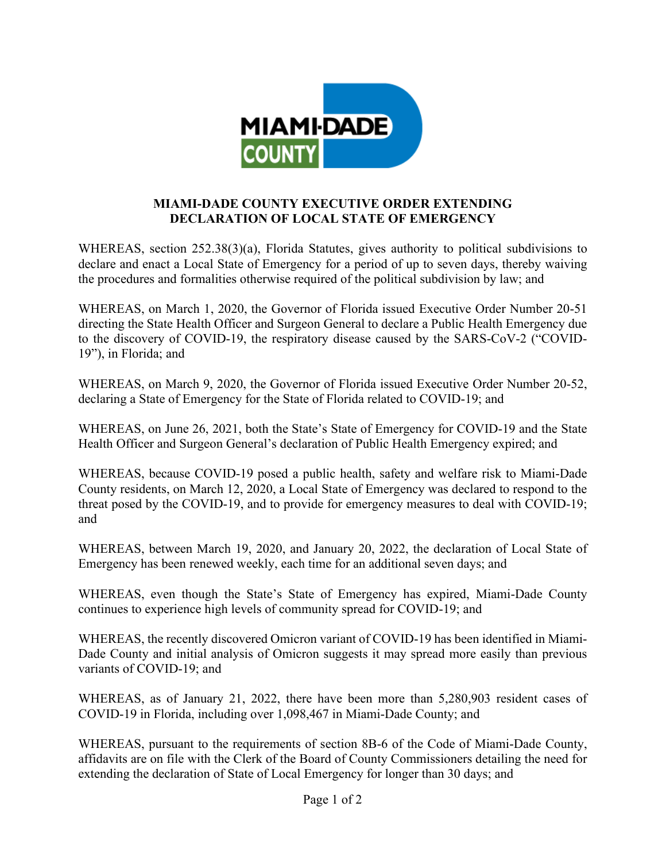

## **MIAMI-DADE COUNTY EXECUTIVE ORDER EXTENDING DECLARATION OF LOCAL STATE OF EMERGENCY**

WHEREAS, section 252.38(3)(a), Florida Statutes, gives authority to political subdivisions to declare and enact a Local State of Emergency for a period of up to seven days, thereby waiving the procedures and formalities otherwise required of the political subdivision by law; and

WHEREAS, on March 1, 2020, the Governor of Florida issued Executive Order Number 20-51 directing the State Health Officer and Surgeon General to declare a Public Health Emergency due to the discovery of COVID-19, the respiratory disease caused by the SARS-CoV-2 ("COVID-19"), in Florida; and

WHEREAS, on March 9, 2020, the Governor of Florida issued Executive Order Number 20-52, declaring a State of Emergency for the State of Florida related to COVID-19; and

WHEREAS, on June 26, 2021, both the State's State of Emergency for COVID-19 and the State Health Officer and Surgeon General's declaration of Public Health Emergency expired; and

WHEREAS, because COVID-19 posed a public health, safety and welfare risk to Miami-Dade County residents, on March 12, 2020, a Local State of Emergency was declared to respond to the threat posed by the COVID-19, and to provide for emergency measures to deal with COVID-19; and

WHEREAS, between March 19, 2020, and January 20, 2022, the declaration of Local State of Emergency has been renewed weekly, each time for an additional seven days; and

WHEREAS, even though the State's State of Emergency has expired, Miami-Dade County continues to experience high levels of community spread for COVID-19; and

WHEREAS, the recently discovered Omicron variant of COVID-19 has been identified in Miami-Dade County and initial analysis of Omicron suggests it may spread more easily than previous variants of COVID-19; and

WHEREAS, as of January 21, 2022, there have been more than 5,280,903 resident cases of COVID-19 in Florida, including over 1,098,467 in Miami-Dade County; and

WHEREAS, pursuant to the requirements of section 8B-6 of the Code of Miami-Dade County, affidavits are on file with the Clerk of the Board of County Commissioners detailing the need for extending the declaration of State of Local Emergency for longer than 30 days; and